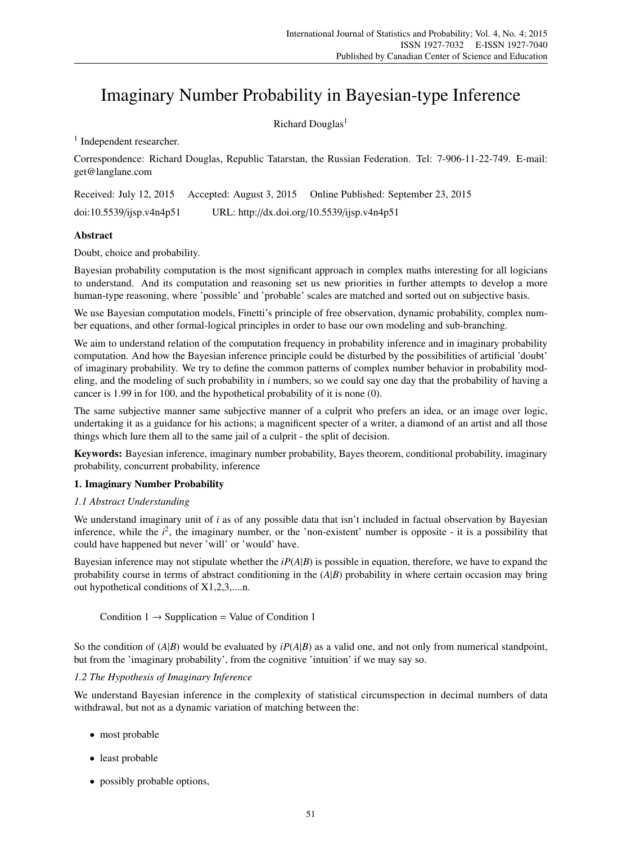# Imaginary Number Probability in Bayesian-type Inference

Richard Douglas<sup>1</sup>

<sup>1</sup> Independent researcher.

Correspondence: Richard Douglas, Republic Tatarstan, the Russian Federation. Tel: 7-906-11-22-749. E-mail: get@langlane.com

Received: July 12, 2015 Accepted: August 3, 2015 Online Published: September 23, 2015 doi:10.5539/ijsp.v4n4p51 URL: http://dx.doi.org/10.5539/ijsp.v4n4p51

# Abstract

Doubt, choice and probability.

Bayesian probability computation is the most significant approach in complex maths interesting for all logicians to understand. And its computation and reasoning set us new priorities in further attempts to develop a more human-type reasoning, where 'possible' and 'probable' scales are matched and sorted out on subjective basis.

We use Bayesian computation models, Finetti's principle of free observation, dynamic probability, complex number equations, and other formal-logical principles in order to base our own modeling and sub-branching.

We aim to understand relation of the computation frequency in probability inference and in imaginary probability computation. And how the Bayesian inference principle could be disturbed by the possibilities of artificial 'doubt' of imaginary probability. We try to define the common patterns of complex number behavior in probability modeling, and the modeling of such probability in *i* numbers, so we could say one day that the probability of having a cancer is 1.99 in for 100, and the hypothetical probability of it is none (0).

The same subjective manner same subjective manner of a culprit who prefers an idea, or an image over logic, undertaking it as a guidance for his actions; a magnificent specter of a writer, a diamond of an artist and all those things which lure them all to the same jail of a culprit - the split of decision.

Keywords: Bayesian inference, imaginary number probability, Bayes theorem, conditional probability, imaginary probability, concurrent probability, inference

# 1. Imaginary Number Probability

# *1.1 Abstract Understanding*

We understand imaginary unit of *i* as of any possible data that isn't included in factual observation by Bayesian inference, while the  $i^2$ , the imaginary number, or the 'non-existent' number is opposite - it is a possibility that could have happened but never 'will' or 'would' have.

Bayesian inference may not stipulate whether the *iP*(*A*|*B*) is possible in equation, therefore, we have to expand the probability course in terms of abstract conditioning in the (*A*|*B*) probability in where certain occasion may bring out hypothetical conditions of X1,2,3,....n.

Condition  $1 \rightarrow$  Supplication = Value of Condition 1

So the condition of  $(A|B)$  would be evaluated by  $iP(A|B)$  as a valid one, and not only from numerical standpoint, but from the 'imaginary probability', from the cognitive 'intuition' if we may say so.

# *1.2 The Hypothesis of Imaginary Inference*

We understand Bayesian inference in the complexity of statistical circumspection in decimal numbers of data withdrawal, but not as a dynamic variation of matching between the:

- most probable
- least probable
- possibly probable options,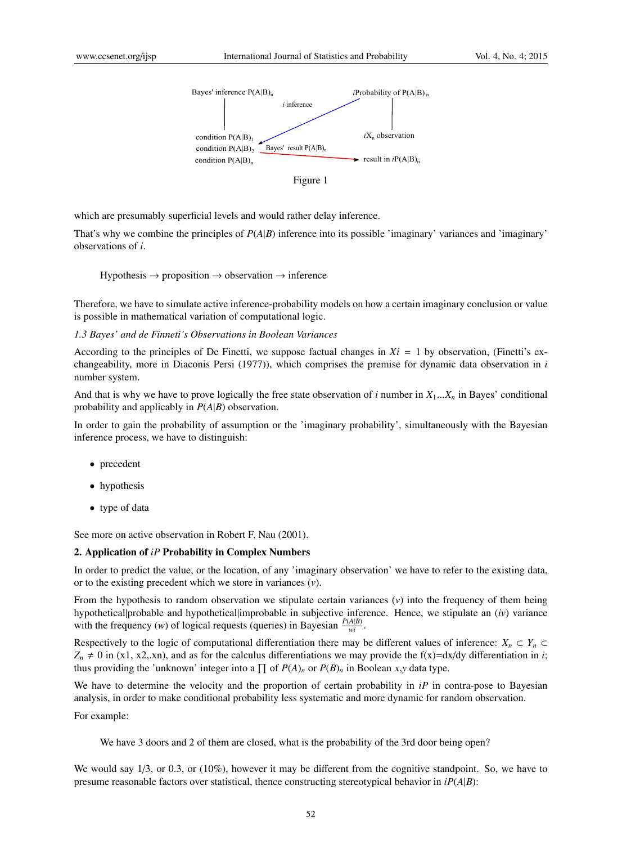

which are presumably superficial levels and would rather delay inference.

That's why we combine the principles of *P*(*A*|*B*) inference into its possible 'imaginary' variances and 'imaginary' observations of *i*.

Hypothesis  $\rightarrow$  proposition  $\rightarrow$  observation  $\rightarrow$  inference

Therefore, we have to simulate active inference-probability models on how a certain imaginary conclusion or value is possible in mathematical variation of computational logic.

*1.3 Bayes' and de Finneti's Observations in Boolean Variances*

According to the principles of De Finetti, we suppose factual changes in  $Xi = 1$  by observation, (Finetti's exchangeability, more in Diaconis Persi (1977)), which comprises the premise for dynamic data observation in *i* number system.

And that is why we have to prove logically the free state observation of *i* number in  $X_1...X_n$  in Bayes' conditional probability and applicably in *P*(*A*|*B*) observation.

In order to gain the probability of assumption or the 'imaginary probability', simultaneously with the Bayesian inference process, we have to distinguish:

- precedent
- hypothesis
- type of data

See more on active observation in Robert F. Nau (2001).

# 2. Application of *iP* Probability in Complex Numbers

In order to predict the value, or the location, of any 'imaginary observation' we have to refer to the existing data, or to the existing precedent which we store in variances (*v*).

From the hypothesis to random observation we stipulate certain variances (*v*) into the frequency of them being hypothetical|probable and hypothetical|improbable in subjective inference. Hence, we stipulate an (*iv*) variance with the frequency (*w*) of logical requests (queries) in Bayesian  $\frac{P(A|B)}{wt}$ .

Respectively to the logic of computational differentiation there may be different values of inference:  $X_n \subset Y_n$  $Z_n \neq 0$  in (x1, x2,.xn), and as for the calculus differentiations we may provide the  $f(x)=dx/dy$  differentiation in *i*; thus providing the 'unknown' integer into a  $\prod$  of  $P(A)_n$  or  $P(B)_n$  in Boolean *x*,*y* data type.

We have to determine the velocity and the proportion of certain probability in *iP* in contra-pose to Bayesian analysis, in order to make conditional probability less systematic and more dynamic for random observation.

For example:

We have 3 doors and 2 of them are closed, what is the probability of the 3rd door being open?

We would say  $1/3$ , or 0.3, or (10%), however it may be different from the cognitive standpoint. So, we have to presume reasonable factors over statistical, thence constructing stereotypical behavior in *iP*(*A*|*B*):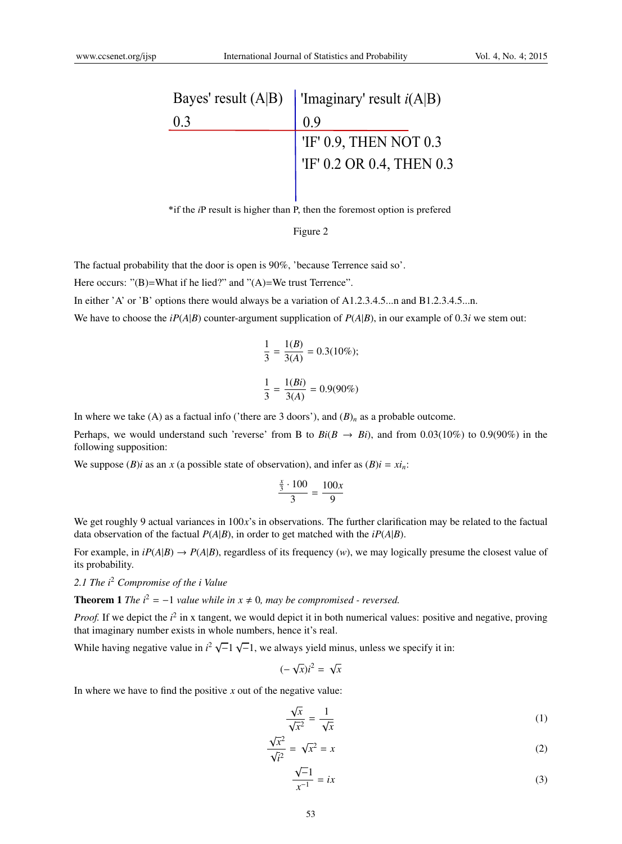|     | Bayes' result (A B)   'Imaginary' result $i(A B)$                                                                              |  |
|-----|--------------------------------------------------------------------------------------------------------------------------------|--|
| 0.3 | 09                                                                                                                             |  |
|     |                                                                                                                                |  |
|     | $\begin{tabular}{ l l } \hline \text{'IF' 0.9, THEN NOT 0.3}\\ \hline \text{'IF' 0.2 OR 0.4, THEN 0.3}\\ \hline \end{tabular}$ |  |
|     |                                                                                                                                |  |

\*if the *i*P result is higher than P, then the foremost option is prefered

#### Figure 2

The factual probability that the door is open is 90%, 'because Terrence said so'.

Here occurs: " $(B)$ =What if he lied?" and " $(A)$ =We trust Terrence".

In either 'A' or 'B' options there would always be a variation of A1.2.3.4.5...n and B1.2.3.4.5...n.

We have to choose the *iP*( $A|B$ ) counter-argument supplication of  $P(A|B)$ , in our example of 0.3*i* we stem out:

$$
\frac{1}{3} = \frac{1(B)}{3(A)} = 0.3(10\%);
$$
  

$$
\frac{1}{3} = \frac{1(Bi)}{3(A)} = 0.9(90\%)
$$

In where we take (A) as a factual info ('there are 3 doors'), and  $(B)<sub>n</sub>$  as a probable outcome.

Perhaps, we would understand such 'reverse' from B to  $Bi(B \rightarrow Bi)$ , and from 0.03(10%) to 0.9(90%) in the following supposition:

We suppose (*B*)*i* as an *x* (a possible state of observation), and infer as  $(B)i = xi<sub>n</sub>$ .

$$
\frac{\frac{x}{3}\cdot 100}{3}=\frac{100x}{9}
$$

We get roughly 9 actual variances in  $100x$ 's in observations. The further clarification may be related to the factual data observation of the factual  $P(A|B)$ , in order to get matched with the  $iP(A|B)$ .

For example, in  $iP(A|B) \rightarrow P(A|B)$ , regardless of its frequency (*w*), we may logically presume the closest value of its probability.

*2.1 The i*<sup>2</sup> *Compromise of the i Value*

**Theorem 1** *The*  $i^2 = -1$  *value while* in  $x \neq 0$ *, may be compromised - reversed.* 

*Proof.* If we depict the  $i^2$  in x tangent, we would depict it in both numerical values: positive and negative, proving that imaginary number exists in whole numbers, hence it's real.

While having negative value in  $i^2 \sqrt{-1} \sqrt{-1}$ , we always yield minus, unless we specify it in:

$$
(-\sqrt{x})i^2 = \sqrt{x}
$$

In where we have to find the positive  $x$  out of the negative value:

$$
\frac{\sqrt{x}}{\sqrt{x^2}} = \frac{1}{\sqrt{x}}\tag{1}
$$

$$
\frac{\sqrt{x^2}}{\sqrt{i^2}} = \sqrt{x^2} = x \tag{2}
$$

$$
\frac{\sqrt{-1}}{x^{-1}} = ix \tag{3}
$$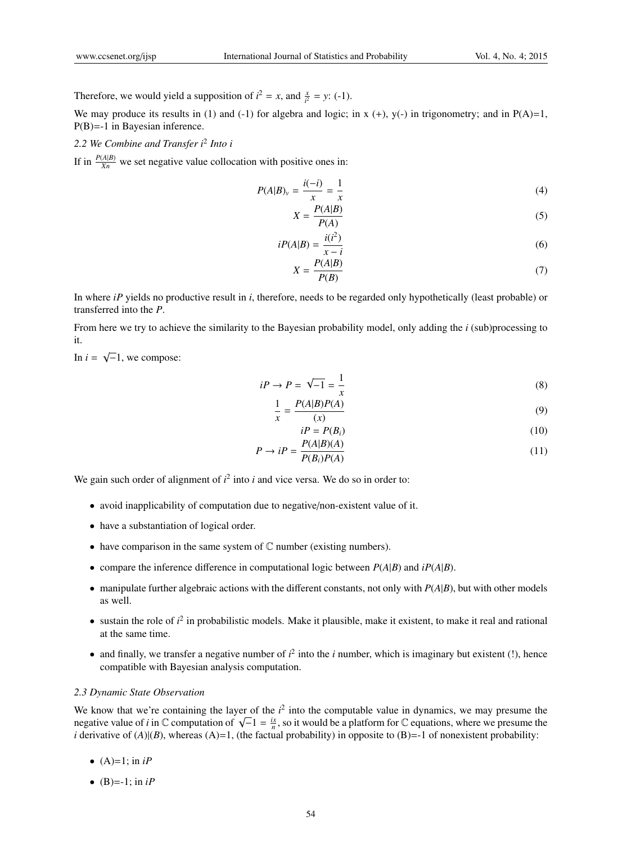Therefore, we would yield a supposition of  $i^2 = x$ , and  $\frac{x}{i^2} = y$ : (-1).

We may produce its results in (1) and (-1) for algebra and logic; in  $x (+)$ ,  $y(-)$  in trigonometry; and in  $P(A)=1$ , P(B)=-1 in Bayesian inference.

*2.2 We Combine and Transfer i*<sup>2</sup> *Into i*

If in  $\frac{P(A|B)}{Xn}$  we set negative value collocation with positive ones in:

$$
P(A|B)_v = \frac{i(-i)}{x} = \frac{1}{x}
$$
 (4)

$$
X = \frac{P(A|B)}{P(A)}\tag{5}
$$

$$
iP(A|B) = \frac{i(i^2)}{x - i}
$$
\n<sup>(6)</sup>

$$
X = \frac{P(A|B)}{P(B)}\tag{7}
$$

In where *iP* yields no productive result in *i*, therefore, needs to be regarded only hypothetically (least probable) or transferred into the *P*.

From here we try to achieve the similarity to the Bayesian probability model, only adding the *i* (sub)processing to it.

In  $i = \sqrt{-1}$ , we compose:

$$
iP \to P = \sqrt{-1} = \frac{1}{x} \tag{8}
$$

$$
\frac{1}{x} = \frac{P(A|B)P(A)}{(x)}
$$
\n(9)

$$
i = P(B_i) \tag{10}
$$

$$
P \to iP = \frac{P(A|B)(A)}{P(B_i)P(A)}\tag{11}
$$

We gain such order of alignment of  $i^2$  into  $i$  and vice versa. We do so in order to:

- avoid inapplicability of computation due to negative/non-existent value of it.
- have a substantiation of logical order.
- have comparison in the same system of  $\mathbb C$  number (existing numbers).
- compare the inference difference in computational logic between  $P(A|B)$  and  $iP(A|B)$ .
- manipulate further algebraic actions with the different constants, not only with  $P(A|B)$ , but with other models as well.
- $\bullet$  sustain the role of  $i^2$  in probabilistic models. Make it plausible, make it existent, to make it real and rational at the same time.
- and finally, we transfer a negative number of  $i^2$  into the  $i$  number, which is imaginary but existent (!), hence compatible with Bayesian analysis computation.

#### *2.3 Dynamic State Observation*

We know that we're containing the layer of the  $i<sup>2</sup>$  into the computable value in dynamics, we may presume the negative value of *i* in  $\mathbb C$  computation of  $\sqrt{-1} = \frac{i\pi}{n}$ , so it would be a platform for  $\mathbb C$  equations, where we presume the *i* derivative of  $(A)|(B)$ , whereas  $(A)=1$ , (the factual probability) in opposite to  $(B)=1$  of nonexistent probability:

- $(A)=1$ ; in *iP*
- $(B) = -1$ ; in *iP*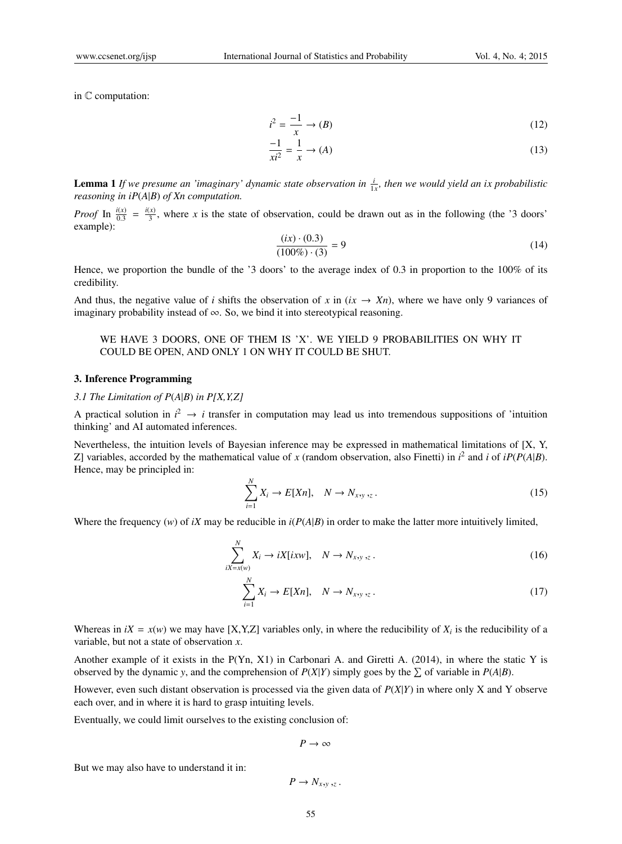in C computation:

$$
i^2 = \frac{-1}{x} \to (B) \tag{12}
$$

$$
\frac{-1}{x^2} = \frac{1}{x} \to (A) \tag{13}
$$

**Lemma 1** If we presume an 'imaginary' dynamic state observation in  $\frac{i}{1x}$ , then we would yield an ix probabilistic *reasoning in iP*(*A*|*B*) *of Xn computation.*

*Proof* In  $\frac{i(x)}{0.3} = \frac{i(x)}{3}$  $\frac{x}{3}$ , where *x* is the state of observation, could be drawn out as in the following (the '3 doors' example):

$$
\frac{(ix) \cdot (0.3)}{(100\%) \cdot (3)} = 9\tag{14}
$$

Hence, we proportion the bundle of the '3 doors' to the average index of 0.3 in proportion to the 100% of its credibility.

And thus, the negative value of *i* shifts the observation of x in  $(ix \rightarrow Xn)$ , where we have only 9 variances of imaginary probability instead of ∞. So, we bind it into stereotypical reasoning.

# WE HAVE 3 DOORS, ONE OF THEM IS 'X'. WE YIELD 9 PROBABILITIES ON WHY IT COULD BE OPEN, AND ONLY 1 ON WHY IT COULD BE SHUT.

#### 3. Inference Programming

#### *3.1 The Limitation of P*(*A*|*B*) *in P[X,Y,Z]*

A practical solution in  $i^2 \rightarrow i$  transfer in computation may lead us into tremendous suppositions of 'intuition thinking' and AI automated inferences.

Nevertheless, the intuition levels of Bayesian inference may be expressed in mathematical limitations of [X, Y, Z] variables, accorded by the mathematical value of *x* (random observation, also Finetti) in  $i^2$  and *i* of  $iP(P(A|B))$ . Hence, may be principled in:

$$
\sum_{i=1}^{N} X_i \to E[Xn], \quad N \to N_{x,y,z} \,. \tag{15}
$$

Where the frequency (*w*) of *iX* may be reducible in *i*(*P*(*A*|*B*) in order to make the latter more intuitively limited,

$$
\sum_{iX=x(w)}^{N} X_i \to iX[ixw], \quad N \to N_{x,y,z} \,. \tag{16}
$$

$$
\sum_{i=1}^{N} X_i \to E[Xn], \quad N \to N_{x,y,z} \,. \tag{17}
$$

Whereas in  $iX = x(w)$  we may have [X,Y,Z] variables only, in where the reducibility of  $X_i$  is the reducibility of a variable, but not a state of observation *x*.

Another example of it exists in the P(Yn, X1) in Carbonari A. and Giretti A. (2014), in where the static Y is observed by the dynamic *y*, and the comprehension of  $P(X|Y)$  simply goes by the  $\sum$  of variable in  $P(A|B)$ .

However, even such distant observation is processed via the given data of *P*(*X*|*Y*) in where only X and Y observe each over, and in where it is hard to grasp intuiting levels.

Eventually, we could limit ourselves to the existing conclusion of:

$$
P\to\infty
$$

But we may also have to understand it in:

$$
P\to N_{x,y,z}.
$$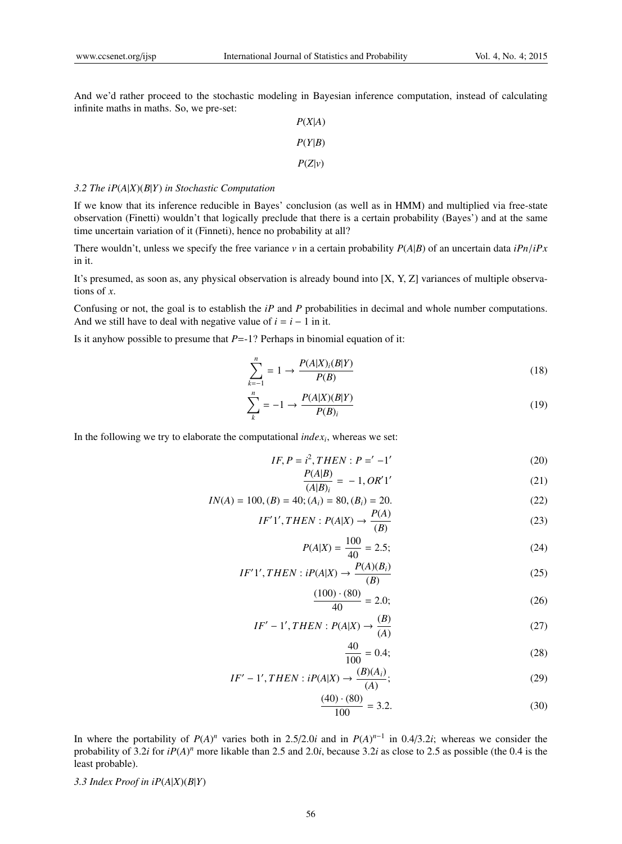And we'd rather proceed to the stochastic modeling in Bayesian inference computation, instead of calculating infinite maths in maths. So, we pre-set:

| P(X A) |
|--------|
| P(Y B) |
| P(Z v) |

#### *3.2 The iP*(*A*|*X*)(*B*|*Y*) *in Stochastic Computation*

If we know that its inference reducible in Bayes' conclusion (as well as in HMM) and multiplied via free-state observation (Finetti) wouldn't that logically preclude that there is a certain probability (Bayes') and at the same time uncertain variation of it (Finneti), hence no probability at all?

There wouldn't, unless we specify the free variance  $v$  in a certain probability  $P(A|B)$  of an uncertain data *iPn*/*iPx* in it.

It's presumed, as soon as, any physical observation is already bound into [X, Y, Z] variances of multiple observations of *x*.

Confusing or not, the goal is to establish the *iP* and *P* probabilities in decimal and whole number computations. And we still have to deal with negative value of  $i = i - 1$  in it.

Is it anyhow possible to presume that *P*=-1? Perhaps in binomial equation of it:

$$
\sum_{k=-1}^{n} = 1 \rightarrow \frac{P(A|X)_i(B|Y)}{P(B)}\tag{18}
$$

$$
\sum_{k}^{n} = -1 \rightarrow \frac{P(A|X)(B|Y)}{P(B)_i} \tag{19}
$$

In the following we try to elaborate the computational *index<sup>i</sup>* , whereas we set:

$$
IF, P = i2, THEN : P = ' -1'
$$
 (20)

$$
\frac{P(A|B)}{(A|B)_i} = -1, OR'1'
$$
\n(21)

$$
IN(A) = 100, (B) = 40; (Ai) = 80, (Bi) = 20.
$$
 (22)

$$
IF'1', THEN: P(A|X) \rightarrow \frac{P(A)}{(B)}
$$
\n
$$
(23)
$$

$$
P(A|X) = \frac{100}{40} = 2.5;
$$
 (24)

$$
IF'1', THEN: iP(A|X) \rightarrow \frac{P(A)(B_i)}{(B)}
$$
\n
$$
(25)
$$

$$
\frac{(100) \cdot (80)}{40} = 2.0;
$$
 (26)

$$
IF' - 1', THEN : P(A|X) \rightarrow \frac{(B)}{(A)}
$$
\n
$$
(27)
$$

$$
\frac{40}{100} = 0.4;
$$
\n(28)

$$
IF' - 1', THEN : iP(A|X) \rightarrow \frac{(B)(A_i)}{(A)};
$$
\n<sup>(29)</sup>

$$
\frac{(40) \cdot (80)}{100} = 3.2.
$$
 (30)

In where the portability of  $P(A)^n$  varies both in 2.5/2.0*i* and in  $P(A)^{n-1}$  in 0.4/3.2*i*; whereas we consider the probability of 3.2*i* for *iP*(*A*)<sup>*n*</sup> more likable than 2.5 and 2.0*i*, because 3.2*i* as close to 2.5 as possible (the 0.4 is the least probable).

3.3 Index Proof in  $iP(A|X)(B|Y)$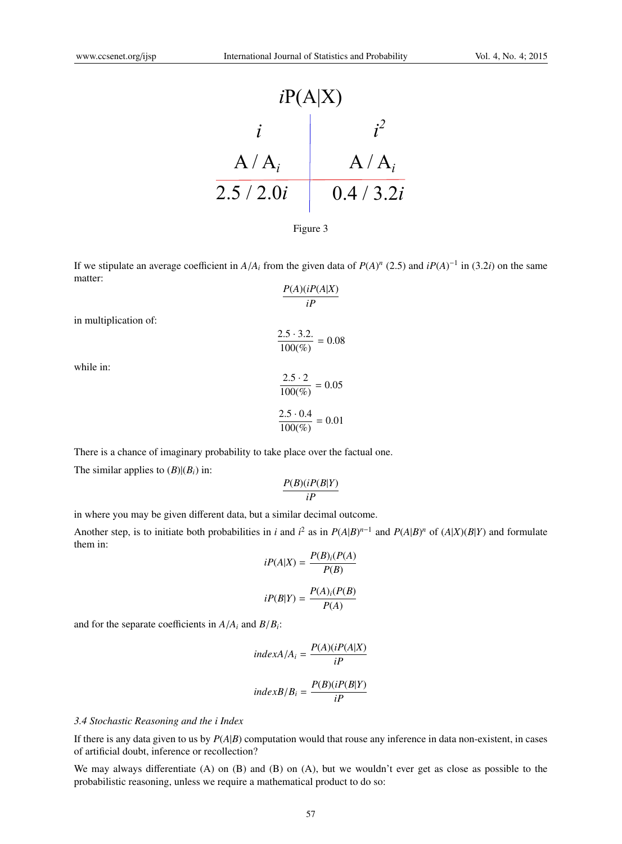



If we stipulate an average coefficient in  $A/A_i$  from the given data of  $P(A)^n$  (2.5) and  $iP(A)^{-1}$  in (3.2*i*) on the same matter:

$$
\frac{P(A)(iP(A|X)}{iP}
$$

in multiplication of:

 $2.5 \cdot 3.2.$  $\frac{2.5 - 5.2}{100\%} = 0.08$ 

while in:

$$
\frac{2.5 \cdot 2}{100\%} = 0.05
$$

$$
\frac{2.5 \cdot 0.4}{100\%} = 0.01
$$

There is a chance of imaginary probability to take place over the factual one. The similar applies to  $(B)|(B_i)$  in:

$$
\frac{P(B)(iP(B|Y))}{iP}
$$

in where you may be given different data, but a similar decimal outcome.

Another step, is to initiate both probabilities in *i* and  $i^2$  as in  $P(A|B)^{n-1}$  and  $P(A|B)^n$  of  $(A|X)(B|Y)$  and formulate them in: *P*(*B*)*i*(*P*(*A*)

$$
iP(A|X) = \frac{P(B)_i(P(A))}{P(B)}
$$

$$
iP(B|Y) = \frac{P(A)_i(P(B))}{P(A)}
$$

and for the separate coefficients in  $A/A_i$  and  $B/B_i$ :

$$
indexA/A_i = \frac{P(A)(iP(A|X))}{iP}
$$

$$
indexB/B_i = \frac{P(B)(iP(B|Y))}{iP}
$$

### *3.4 Stochastic Reasoning and the i Index*

If there is any data given to us by *P*(*A*|*B*) computation would that rouse any inference in data non-existent, in cases of artificial doubt, inference or recollection?

We may always differentiate (A) on (B) and (B) on (A), but we wouldn't ever get as close as possible to the probabilistic reasoning, unless we require a mathematical product to do so: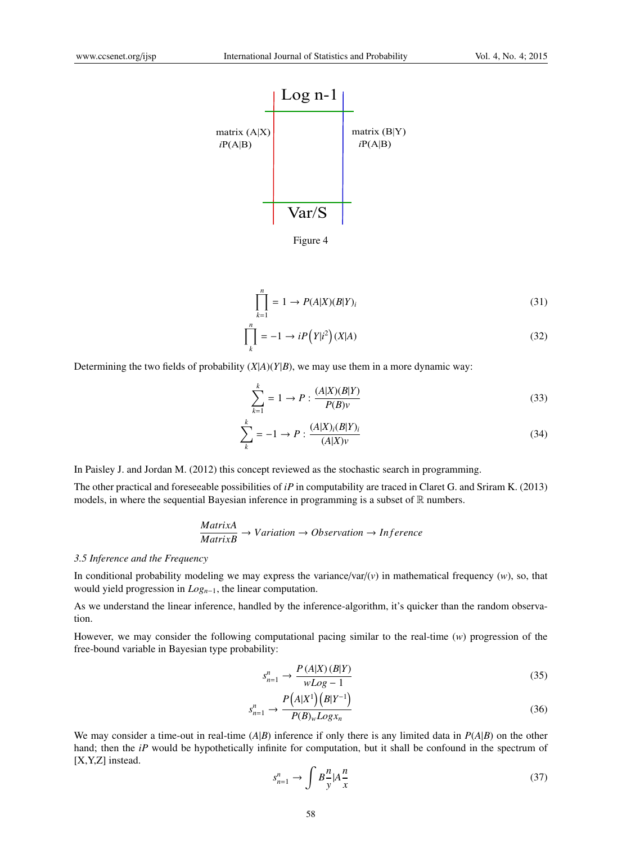

Figure 4

$$
\prod_{k=1}^{n} = 1 \rightarrow P(A|X)(B|Y)_{i}
$$
\n(31)

$$
\prod_{k}^{n} = -1 \rightarrow iP(Y|i^{2}) (X|A)
$$
\n(32)

Determining the two fields of probability  $(X|A)(Y|B)$ , we may use them in a more dynamic way:

$$
\sum_{k=1}^{k} = 1 \to P : \frac{(A|X)(B|Y)}{P(B)v}
$$
\n(33)

$$
\sum_{k}^{k} = -1 \to P : \frac{(A|X)_{i}(B|Y)_{i}}{(A|X)\nu}
$$
\n(34)

In Paisley J. and Jordan M. (2012) this concept reviewed as the stochastic search in programming.

The other practical and foreseeable possibilities of *iP* in computability are traced in Claret G. and Sriram K. (2013) models, in where the sequential Bayesian inference in programming is a subset of  $\mathbb R$  numbers.

$$
\frac{MatrixA}{MatrixB} \rightarrow Variation \rightarrow Observation \rightarrow Inference
$$

### *3.5 Inference and the Frequency*

In conditional probability modeling we may express the variance/var/ $(v)$  in mathematical frequency  $(w)$ , so, that would yield progression in *Log<sup>n</sup>*−<sup>1</sup>, the linear computation.

As we understand the linear inference, handled by the inference-algorithm, it's quicker than the random observation.

However, we may consider the following computational pacing similar to the real-time (*w*) progression of the free-bound variable in Bayesian type probability:

$$
s_{n=1}^n \to \frac{P(A|X)(B|Y)}{wLog - 1} \tag{35}
$$

$$
s_{n=1}^n \to \frac{P(A|X^1)(B|Y^{-1})}{P(B)_w Log x_n}
$$
\n
$$
(36)
$$

We may consider a time-out in real-time  $(A|B)$  inference if only there is any limited data in  $P(A|B)$  on the other hand; then the *iP* would be hypothetically infinite for computation, but it shall be confound in the spectrum of [X,Y,Z] instead.

$$
s_{n=1}^n \to \int B \frac{n}{y} |A \frac{n}{x} \tag{37}
$$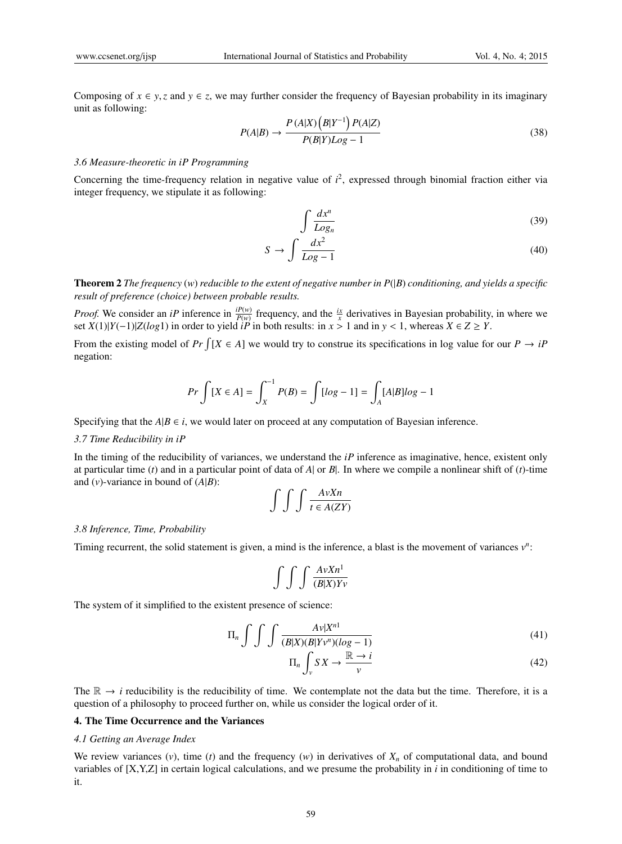Composing of  $x \in y$ , *z* and  $y \in z$ , we may further consider the frequency of Bayesian probability in its imaginary unit as following:

$$
P(A|B) \rightarrow \frac{P(A|X)\left(B|Y^{-1}\right)P(A|Z)}{P(B|Y)Log - 1} \tag{38}
$$

#### *3.6 Measure-theoretic in iP Programming*

Concerning the time-frequency relation in negative value of  $i^2$ , expressed through binomial fraction either via integer frequency, we stipulate it as following:

$$
\int \frac{dx^n}{Log_n} \tag{39}
$$

$$
S \to \int \frac{dx^2}{Log - 1} \tag{40}
$$

Theorem 2 *The frequency* (*w*) *reducible to the extent of negative number in P*(|*B*) *conditioning, and yields a specific result of preference (choice) between probable results.*

*Proof.* We consider an *iP* inference in  $\frac{dP(w)}{P(w)}$  frequency, and the  $\frac{ix}{x}$  derivatives in Bayesian probability, in where we set *X*(1)|*Y*(−1)|*Z*(*log*1) in order to yield  $i\overline{P}$  in both results: in *x* > 1 and in *y* < 1, whereas *X* ∈ *Z* ≥ *Y*.

From the existing model of  $Pr \int [X \in A]$  we would try to construe its specifications in log value for our  $P \to iP$ negation:

$$
Pr\int [X \in A] = \int_{X}^{-1} P(B) = \int [log - 1] = \int_{A} [A|B]log - 1
$$

Specifying that the  $A|B \in i$ , we would later on proceed at any computation of Bayesian inference.

#### *3.7 Time Reducibility in iP*

In the timing of the reducibility of variances, we understand the *iP* inference as imaginative, hence, existent only at particular time (*t*) and in a particular point of data of  $A$  or  $B$ . In where we compile a nonlinear shift of (*t*)-time and  $(v)$ -variance in bound of  $(A|B)$ :

$$
\int \int \int \frac{AvXn}{t \in A(ZY)}
$$

#### *3.8 Inference, Time, Probability*

Timing recurrent, the solid statement is given, a mind is the inference, a blast is the movement of variances  $v^n$ :

$$
\int \int \int \frac{AvXn^1}{(B|X)Yv}
$$

The system of it simplified to the existent presence of science:

$$
\Pi_n \int \int \int \frac{A v |X^{n1}}{(B|X)(B|Yv^n)(\log - 1)}\tag{41}
$$

$$
\Pi_n \int_{\nu} S X \to \frac{\mathbb{R} \to i}{\nu} \tag{42}
$$

The  $\mathbb{R} \to i$  reducibility is the reducibility of time. We contemplate not the data but the time. Therefore, it is a question of a philosophy to proceed further on, while us consider the logical order of it.

### 4. The Time Occurrence and the Variances

#### *4.1 Getting an Average Index*

We review variances  $(v)$ , time  $(t)$  and the frequency  $(w)$  in derivatives of  $X_n$  of computational data, and bound variables of [X,Y,Z] in certain logical calculations, and we presume the probability in *i* in conditioning of time to it.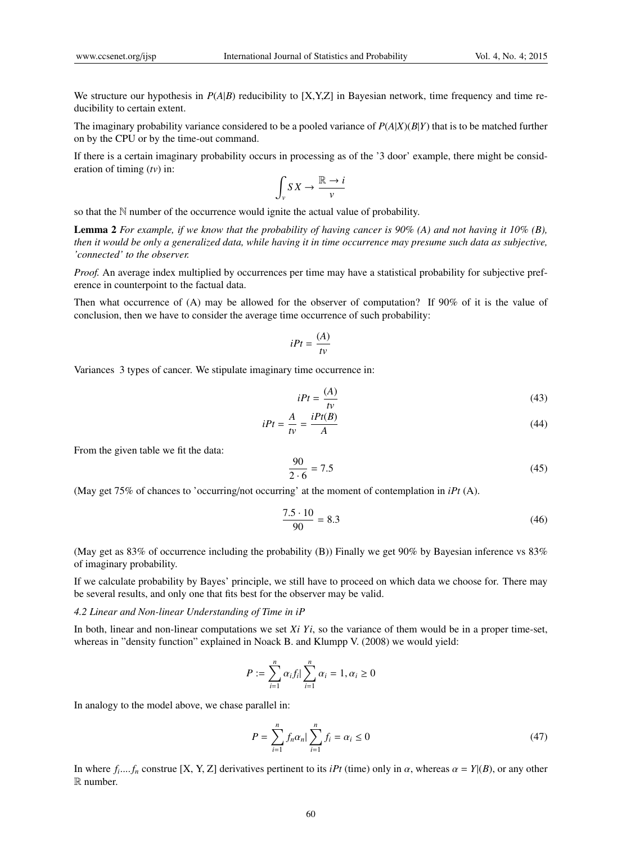We structure our hypothesis in  $P(A|B)$  reducibility to [X,Y,Z] in Bayesian network, time frequency and time reducibility to certain extent.

The imaginary probability variance considered to be a pooled variance of *P*(*A*|*X*)(*B*|*Y*) that is to be matched further on by the CPU or by the time-out command.

If there is a certain imaginary probability occurs in processing as of the '3 door' example, there might be consideration of timing (*tv*) in:

$$
\int_{\nu} S X \to \frac{\mathbb{R} \to i}{\nu}
$$

so that the N number of the occurrence would ignite the actual value of probability.

Lemma 2 *For example, if we know that the probability of having cancer is 90% (A) and not having it 10% (B), then it would be only a generalized data, while having it in time occurrence may presume such data as subjective, 'connected' to the observer.*

*Proof.* An average index multiplied by occurrences per time may have a statistical probability for subjective preference in counterpoint to the factual data.

Then what occurrence of (A) may be allowed for the observer of computation? If 90% of it is the value of conclusion, then we have to consider the average time occurrence of such probability:

$$
iPt = \frac{(A)}{tv}
$$

Variances 3 types of cancer. We stipulate imaginary time occurrence in:

$$
iPt = \frac{(A)}{tv} \tag{43}
$$

$$
iPt = \frac{A}{tv} = \frac{iPt(B)}{A} \tag{44}
$$

From the given table we fit the data:

$$
\frac{90}{2 \cdot 6} = 7.5\tag{45}
$$

(May get 75% of chances to 'occurring/not occurring' at the moment of contemplation in *iPt* (A).

$$
\frac{7.5 \cdot 10}{90} = 8.3\tag{46}
$$

(May get as 83% of occurrence including the probability (B)) Finally we get 90% by Bayesian inference vs 83% of imaginary probability.

If we calculate probability by Bayes' principle, we still have to proceed on which data we choose for. There may be several results, and only one that fits best for the observer may be valid.

#### *4.2 Linear and Non-linear Understanding of Time in iP*

In both, linear and non-linear computations we set  $Xi$  *Yi*, so the variance of them would be in a proper time-set, whereas in "density function" explained in Noack B. and Klumpp V. (2008) we would yield:

$$
P := \sum_{i=1}^{n} \alpha_i f_i \big| \sum_{i=1}^{n} \alpha_i = 1, \alpha_i \ge 0
$$

In analogy to the model above, we chase parallel in:

$$
P = \sum_{i=1}^{n} f_n \alpha_n \big| \sum_{i=1}^{n} f_i = \alpha_i \le 0 \tag{47}
$$

In where  $f_i$ ....  $f_n$  construe [X, Y, Z] derivatives pertinent to its *iPt* (time) only in  $\alpha$ , whereas  $\alpha = Y|(B)$ , or any other R number.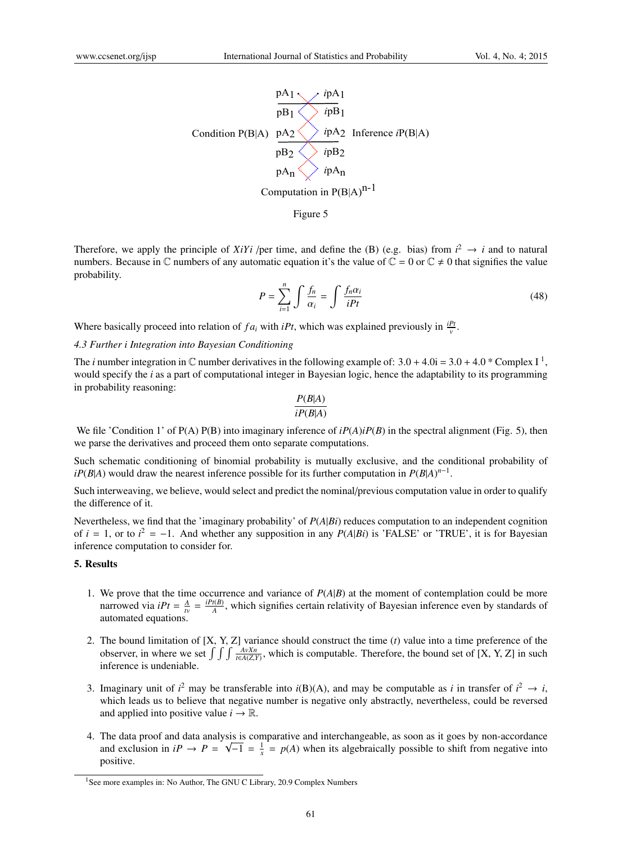

Therefore, we apply the principle of *XiYi* /per time, and define the (B) (e.g. bias) from  $i^2 \rightarrow i$  and to natural numbers. Because in  $\mathbb C$  numbers of any automatic equation it's the value of  $\mathbb C = 0$  or  $\mathbb C \neq 0$  that signifies the value probability.

$$
P = \sum_{i=1}^{n} \int \frac{f_n}{\alpha_i} = \int \frac{f_n \alpha_i}{iPt}
$$
 (48)

Where basically proceed into relation of  $fa_i$  with *iPt*, which was explained previously in  $\frac{ip_i}{v}$ .

#### *4.3 Further i Integration into Bayesian Conditioning*

The *i* number integration in  $\mathbb C$  number derivatives in the following example of:  $3.0 + 4.0$ i =  $3.0 + 4.0$  \* Complex I<sup>1</sup>, would specify the *i* as a part of computational integer in Bayesian logic, hence the adaptability to its programming in probability reasoning:

$$
\frac{P(B|A)}{iP(B|A)}
$$

We file 'Condition 1' of P(A) P(B) into imaginary inference of  $iP(A)iP(B)$  in the spectral alignment (Fig. 5), then we parse the derivatives and proceed them onto separate computations.

Such schematic conditioning of binomial probability is mutually exclusive, and the conditional probability of  $iP(B|A)$  would draw the nearest inference possible for its further computation in  $P(B|A)^{n-1}$ .

Such interweaving, we believe, would select and predict the nominal/previous computation value in order to qualify the difference of it.

Nevertheless, we find that the 'imaginary probability' of *P*(*A*|*Bi*) reduces computation to an independent cognition of  $i = 1$ , or to  $i^2 = -1$ . And whether any supposition in any  $P(A|Bi)$  is 'FALSE' or 'TRUE', it is for Bayesian inference computation to consider for.

# 5. Results

- 1. We prove that the time occurrence and variance of *P*(*A*|*B*) at the moment of contemplation could be more narrowed via  $iPt = \frac{A}{tv} = \frac{iPt(B)}{A}$  $\frac{H(B)}{A}$ , which signifies certain relativity of Bayesian inference even by standards of automated equations.
- 2. The bound limitation of [X, Y, Z] variance should construct the time (*t*) value into a time preference of the observer, in where we set  $\int \int \int \frac{AvX_n}{t \in A(Z,Y)}$ , which is computable. Therefore, the bound set of [X, Y, Z] in such inference is undeniable.
- 3. Imaginary unit of  $i^2$  may be transferable into  $i(B)(A)$ , and may be computable as  $i$  in transfer of  $i^2 \rightarrow i$ , which leads us to believe that negative number is negative only abstractly, nevertheless, could be reversed and applied into positive value  $i \to \mathbb{R}$ .
- 4. The data proof and data analysis is comparative and interchangeable, as soon as it goes by non-accordance and exclusion in  $iP \rightarrow P = \sqrt{-1} = \frac{1}{x} = p(A)$  when its algebraically possible to shift from negative into positive.

<sup>&</sup>lt;sup>1</sup>See more examples in: No Author, The GNU C Library, 20.9 Complex Numbers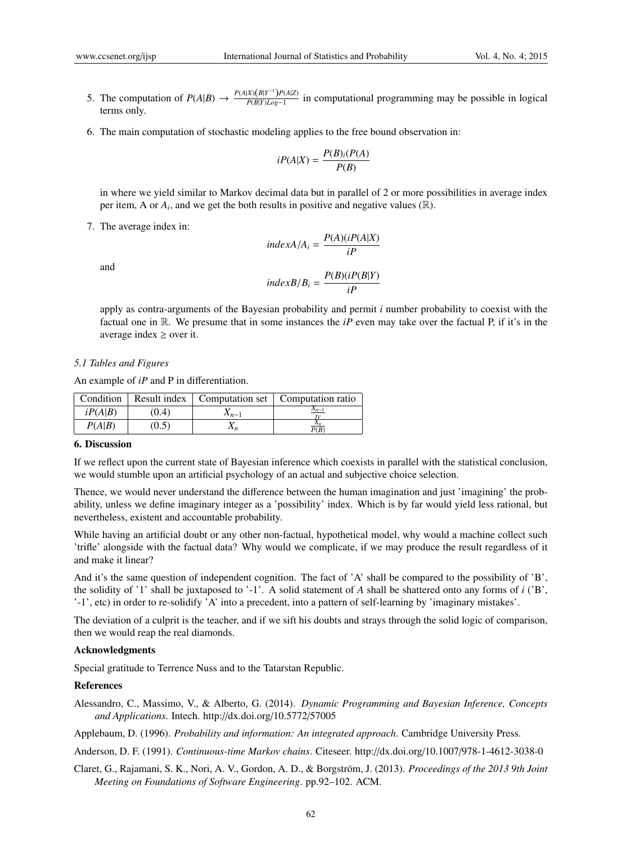- 5. The computation of  $P(A|B) \rightarrow \frac{P(A|X)(B|Y^{-1})P(A|Z)}{P(B|Y)Log-1}$  $\frac{P(A)(B|I - J(A)|E)}{P(B|Y)Log-1}$  in computational programming may be possible in logical terms only.
- 6. The main computation of stochastic modeling applies to the free bound observation in:

$$
iP(A|X) = \frac{P(B)_i(P(A)}{P(B)}
$$

in where we yield similar to Markov decimal data but in parallel of 2 or more possibilities in average index per item, A or  $A_i$ , and we get the both results in positive and negative values  $(\mathbb{R})$ .

7. The average index in:

$$
indexA/A_i = \frac{P(A)(iP(A|X))}{iP}
$$

$$
indexB/B_i = \frac{P(B)(iP(B|Y))}{iP}
$$

apply as contra-arguments of the Bayesian probability and permit *i* number probability to coexist with the factual one in R. We presume that in some instances the *iP* even may take over the factual P, if it's in the average index  $\geq$  over it.

#### *5.1 Tables and Figures*

and

An example of *iP* and P in differentiation.

| Condition |       |                 | Result index   Computation set   Computation ratio |
|-----------|-------|-----------------|----------------------------------------------------|
| iP(A B)   | (0.4) | $\Lambda_{n-1}$ | $\frac{X_{n-1}}{X_n}$                              |
| P(A B)    | (0.5) | $\Lambda_n$     | P(B)                                               |

## 6. Discussion

If we reflect upon the current state of Bayesian inference which coexists in parallel with the statistical conclusion, we would stumble upon an artificial psychology of an actual and subjective choice selection.

Thence, we would never understand the difference between the human imagination and just 'imagining' the probability, unless we define imaginary integer as a 'possibility' index. Which is by far would yield less rational, but nevertheless, existent and accountable probability.

While having an artificial doubt or any other non-factual, hypothetical model, why would a machine collect such 'trifle' alongside with the factual data? Why would we complicate, if we may produce the result regardless of it and make it linear?

And it's the same question of independent cognition. The fact of 'A' shall be compared to the possibility of 'B', the solidity of '1' shall be juxtaposed to '-1'. A solid statement of *A* shall be shattered onto any forms of *i* ('B', '-1', etc) in order to re-solidify 'A' into a precedent, into a pattern of self-learning by 'imaginary mistakes'.

The deviation of a culprit is the teacher, and if we sift his doubts and strays through the solid logic of comparison, then we would reap the real diamonds.

#### Acknowledgments

Special gratitude to Terrence Nuss and to the Tatarstan Republic.

#### References

Alessandro, C., Massimo, V., & Alberto, G. (2014). *Dynamic Programming and Bayesian Inference, Concepts and Applications*. Intech. http://dx.doi.org/10.5772/57005

Applebaum, D. (1996). *Probability and information: An integrated approach*. Cambridge University Press.

- Anderson, D. F. (1991). *Continuous-time Markov chains*. Citeseer. http://dx.doi.org/10.1007/978-1-4612-3038-0
- Claret, G., Rajamani, S. K., Nori, A. V., Gordon, A. D., & Borgström, J. (2013). Proceedings of the 2013 9th Joint *Meeting on Foundations of Software Engineering*. pp.92–102. ACM.